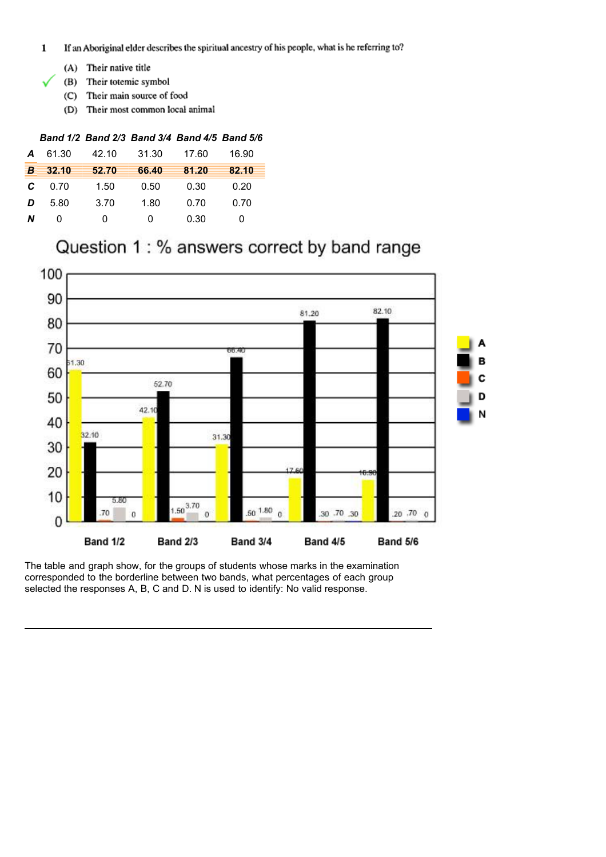- If an Aboriginal elder describes the spiritual ancestry of his people, what is he referring to?  $\mathbf 1$ 
	- (A) Their native title
	- (B) Their totemic symbol
	- (C) Their main source of food
	- (D) Their most common local animal

| A | 61.30 | 42.10 | 31.30 | 17.60 | 16.90 |
|---|-------|-------|-------|-------|-------|
| B | 32.10 | 52.70 | 66.40 | 81.20 | 82.10 |
| C | 0.70  | 1.50  | 0.50  | 0.30  | 0.20  |
| D | 5.80  | 3.70  | 1.80  | 0.70  | 0.70  |
| N | 0     | 0     | 0     | 0.30  | O     |

# Question 1: % answers correct by band range

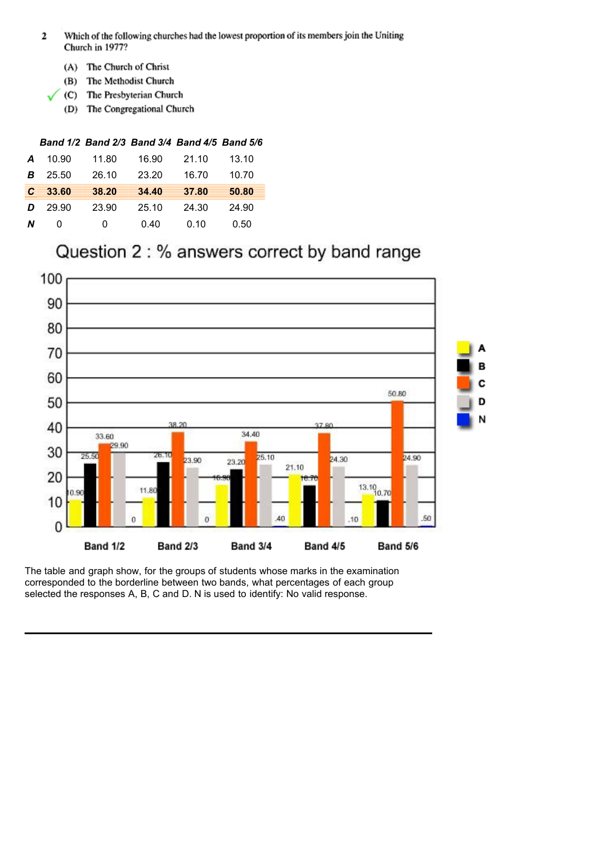- Which of the following churches had the lowest proportion of its members join the Uniting  $\mathbf 2$ Church in 1977?
	- (A) The Church of Christ
	- (B) The Methodist Church
	- (C) The Presbyterian Church
	- (D) The Congregational Church

| A  | 10.90 | 11.80 | 16.90 | 21.10 | 13.10 |
|----|-------|-------|-------|-------|-------|
| B  | 25.50 | 26.10 | 23.20 | 16.70 | 10.70 |
| C. | 33.60 | 38.20 | 34.40 | 37.80 | 50.80 |
| D  | 29.90 | 23.90 | 25.10 | 24.30 | 24.90 |
| N  | O     | 0     | 0.40  | 0.10  | 0.50  |

## Question 2 : % answers correct by band range

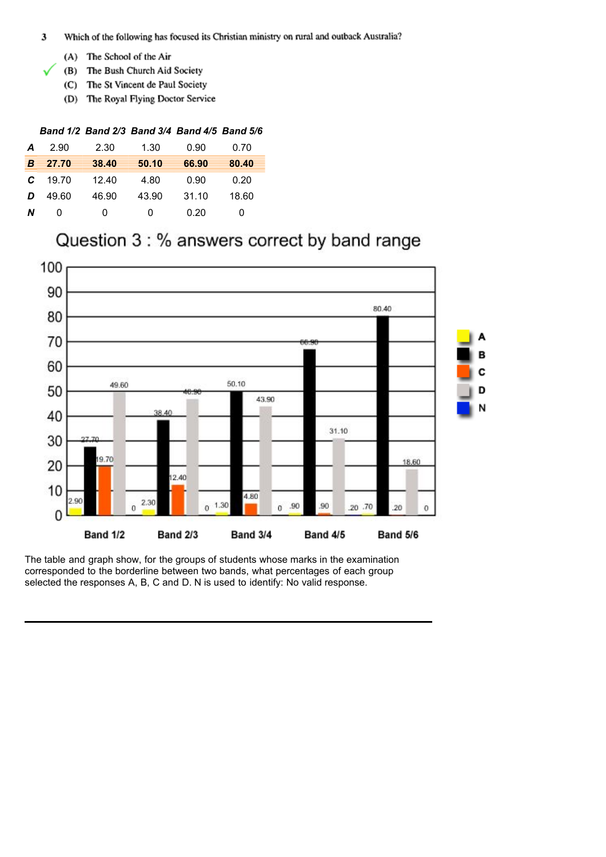- Which of the following has focused its Christian ministry on rural and outback Australia? 3
	- (A) The School of the Air
	- (B) The Bush Church Aid Society
	- (C) The St Vincent de Paul Society
	- (D) The Royal Flying Doctor Service

| Α                           | 2.90  | 2.30  | 1.30  | 0.90  | 0.70  |
|-----------------------------|-------|-------|-------|-------|-------|
| $\overline{\boldsymbol{B}}$ | 27.70 | 38.40 | 50.10 | 66.90 | 80.40 |
| C                           | 19.70 | 12.40 | 4.80  | 0.90  | 0.20  |
| D                           | 49.60 | 46.90 | 43.90 | 31.10 | 18.60 |
| N                           | 0     | 0     | 0     | 0.20  | 0     |

## Question 3 : % answers correct by band range

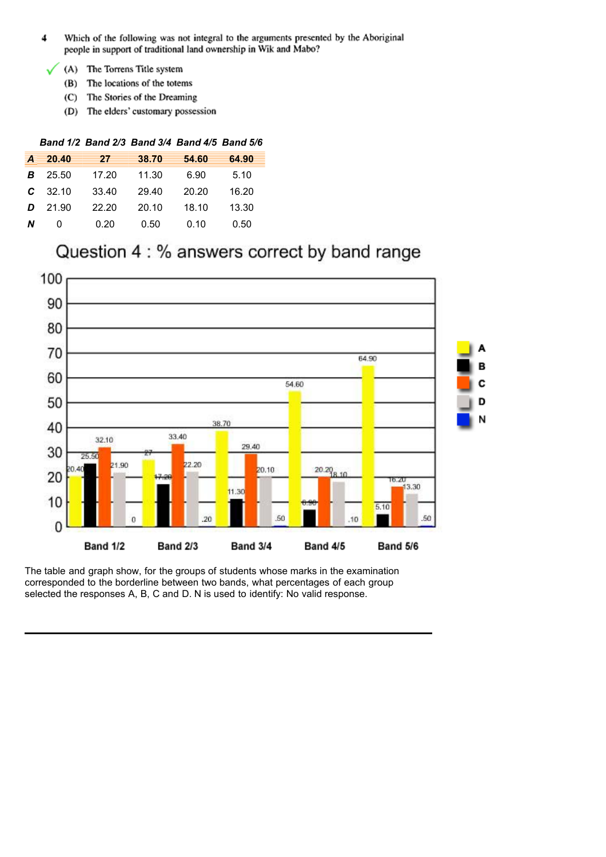- $\ddot{\phantom{0}}$ Which of the following was not integral to the arguments presented by the Aboriginal people in support of traditional land ownership in Wik and Mabo?
- (A) The Torrens Title system ✓
	- (B) The locations of the totems
	- (C) The Stories of the Dreaming
	- (D) The elders' customary possession

| Α | 20.40 | 27    | 38.70 | 54.60 | 64.90 |
|---|-------|-------|-------|-------|-------|
| B | 25.50 | 17.20 | 11.30 | 6.90  | 5.10  |
| C | 32.10 | 33.40 | 29.40 | 20.20 | 16.20 |
| D | 21.90 | 22.20 | 20.10 | 18.10 | 13.30 |
| N | 0     | 0.20  | 0.50  | 0.10  | 0.50  |

# Question 4 : % answers correct by band range

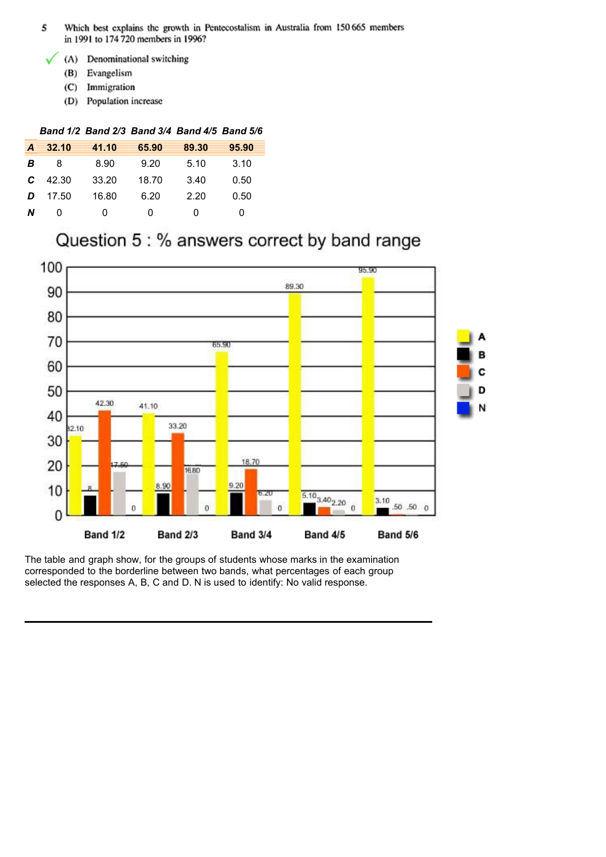- Which best explains the growth in Pentecostalism in Australia from 150 665 members 5 in 1991 to 174 720 members in 1996?
	- (A) Denominational switching
		- (B) Evangelism
		- (C) Immigration
		- (D) Population increase

| A | 32.10 | 41.10 | 65.90 | 89.30 | 95.90 |
|---|-------|-------|-------|-------|-------|
| B | 8     | 8.90  | 9.20  | 5.10  | 3.10  |
| C | 42.30 | 33.20 | 18.70 | 3.40  | 0.50  |
| D | 17.50 | 16.80 | 6.20  | 2.20  | 0.50  |
| N | 0     | O     | O     | 0     | 0     |

## Question 5 : % answers correct by band range

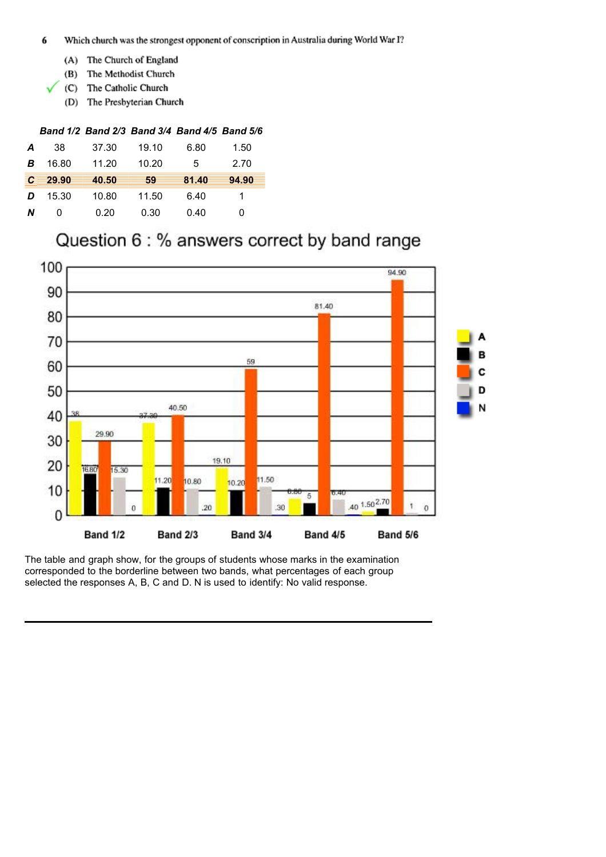- 6 Which church was the strongest opponent of conscription in Australia during World War I?
	- (A) The Church of England
	- (B) The Methodist Church
	- (C) The Catholic Church
	- (D) The Presbyterian Church

| Α            | 38    | 37.30 | 19.10 | 6.80  | 1.50  |
|--------------|-------|-------|-------|-------|-------|
| B            | 16.80 | 11.20 | 10.20 | 5     | 2.70  |
| $\mathbf{C}$ | 29.90 | 40.50 | 59    | 81.40 | 94.90 |
| D            | 15.30 | 10.80 | 11.50 | 6.40  | 1     |
| Ν            | O     | 0.20  | 0.30  | 0.40  | 0     |

# Question 6 : % answers correct by band range

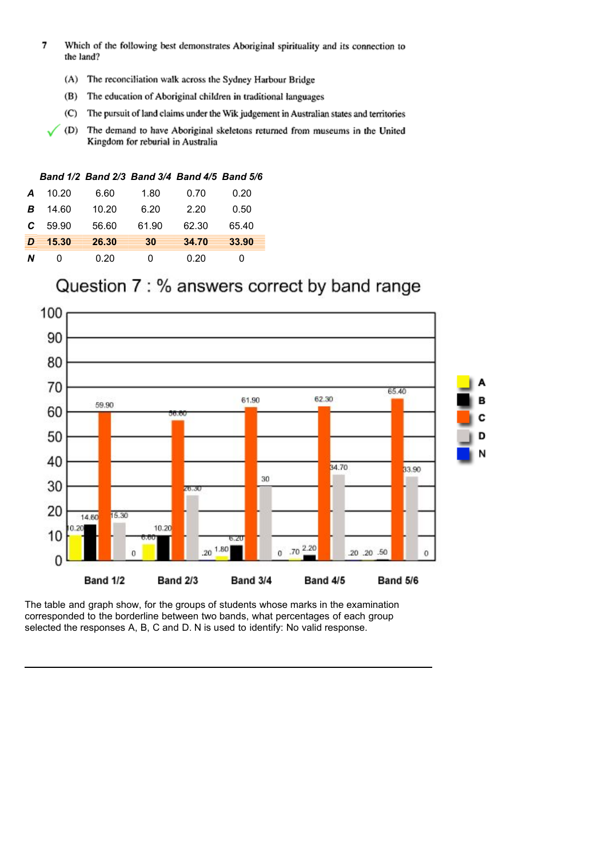- $\overline{\mathbf{z}}$ Which of the following best demonstrates Aboriginal spirituality and its connection to the land?
	- (A) The reconciliation walk across the Sydney Harbour Bridge
	- (B) The education of Aboriginal children in traditional languages
	- (C) The pursuit of land claims under the Wik judgement in Australian states and territories
	- (D) The demand to have Aboriginal skeletons returned from museums in the United Kingdom for reburial in Australia

| Band 1/2 Band 2/3 Band 3/4 Band 4/5 Band 5/6 |  |  |  |
|----------------------------------------------|--|--|--|
|----------------------------------------------|--|--|--|

| N | O     | 0.20  | 0     | 0.20  | O     |
|---|-------|-------|-------|-------|-------|
| Ð | 15.30 | 26.30 | 30    | 34.70 | 33.90 |
| C | 59.90 | 56.60 | 61.90 | 62.30 | 65.40 |
| B | 14.60 | 10.20 | 6.20  | 2.20  | 0.50  |
| Α | 10.20 | 6.60  | 1.80  | 0.70  | 0.20  |

## Question 7 : % answers correct by band range

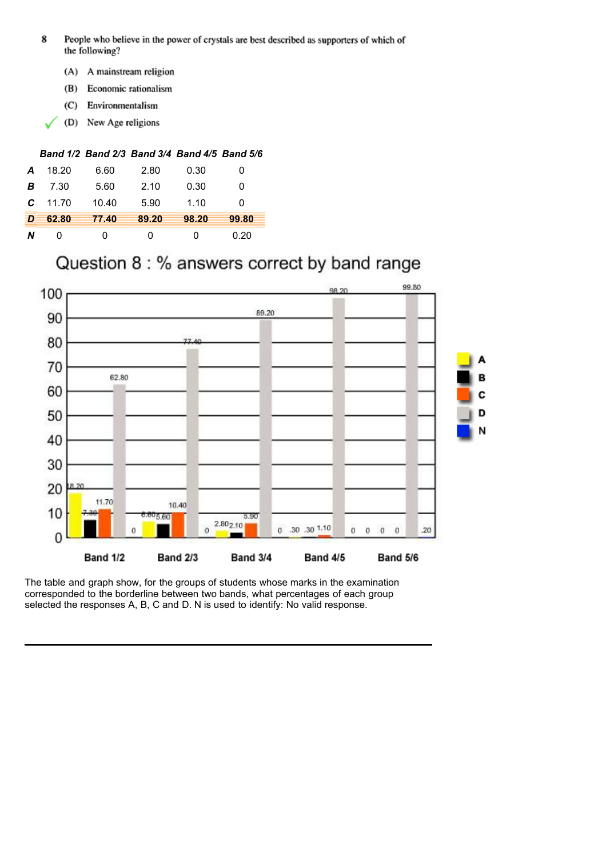- 8 People who believe in the power of crystals are best described as supporters of which of the following?
	- (A) A mainstream religion
	- (B) Economic rationalism
	- (C) Environmentalism
	- New Age religions  $(D)$

| A | 18.20 | 6.60  | 2.80  | 0.30         | 0     |
|---|-------|-------|-------|--------------|-------|
| В | 7.30  | 5.60  | 2.10  | 0.30         | 0     |
| C | 11.70 | 10.40 | 5.90  | 1.10         | O     |
| Ð | 62.80 | 77.40 | 89.20 | 98.20        | 99.80 |
| N | O     | O     | 0     | $\mathbf{0}$ | 0.20  |

# Question 8 : % answers correct by band range

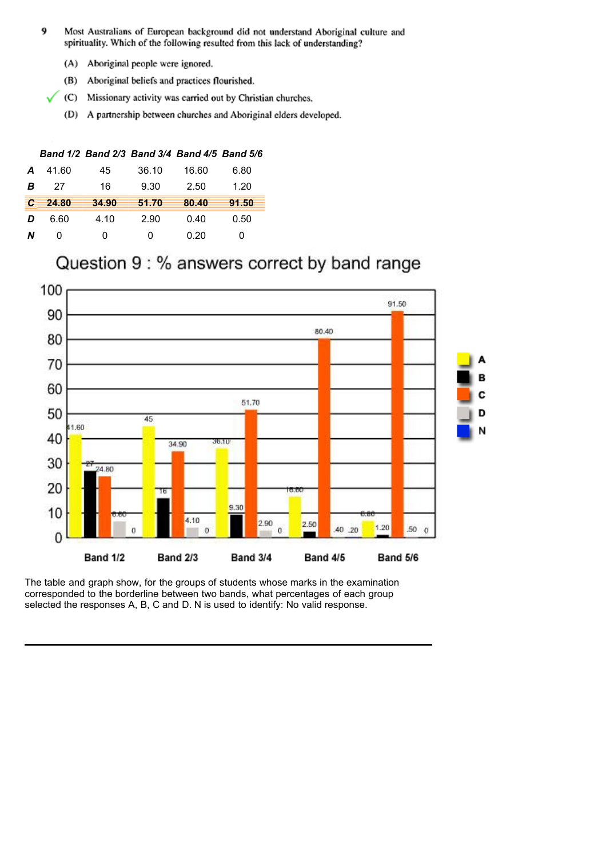- Most Australians of European background did not understand Aboriginal culture and 9 spirituality. Which of the following resulted from this lack of understanding?
	- (A) Aboriginal people were ignored.
	- (B) Aboriginal beliefs and practices flourished.
	- (C) Missionary activity was carried out by Christian churches.
	- (D) A partnership between churches and Aboriginal elders developed.

| A | 41.60 | 45    | 36.10 | 16.60 | 6.80  |
|---|-------|-------|-------|-------|-------|
| В | 27    | 16    | 9.30  | 2.50  | 1.20  |
| C | 24.80 | 34.90 | 51.70 | 80.40 | 91.50 |
| D | 6.60  | 4.10  | 2.90  | 0.40  | 0.50  |
| N | O     | ი     | 0     | 0.20  |       |

## Question 9 : % answers correct by band range